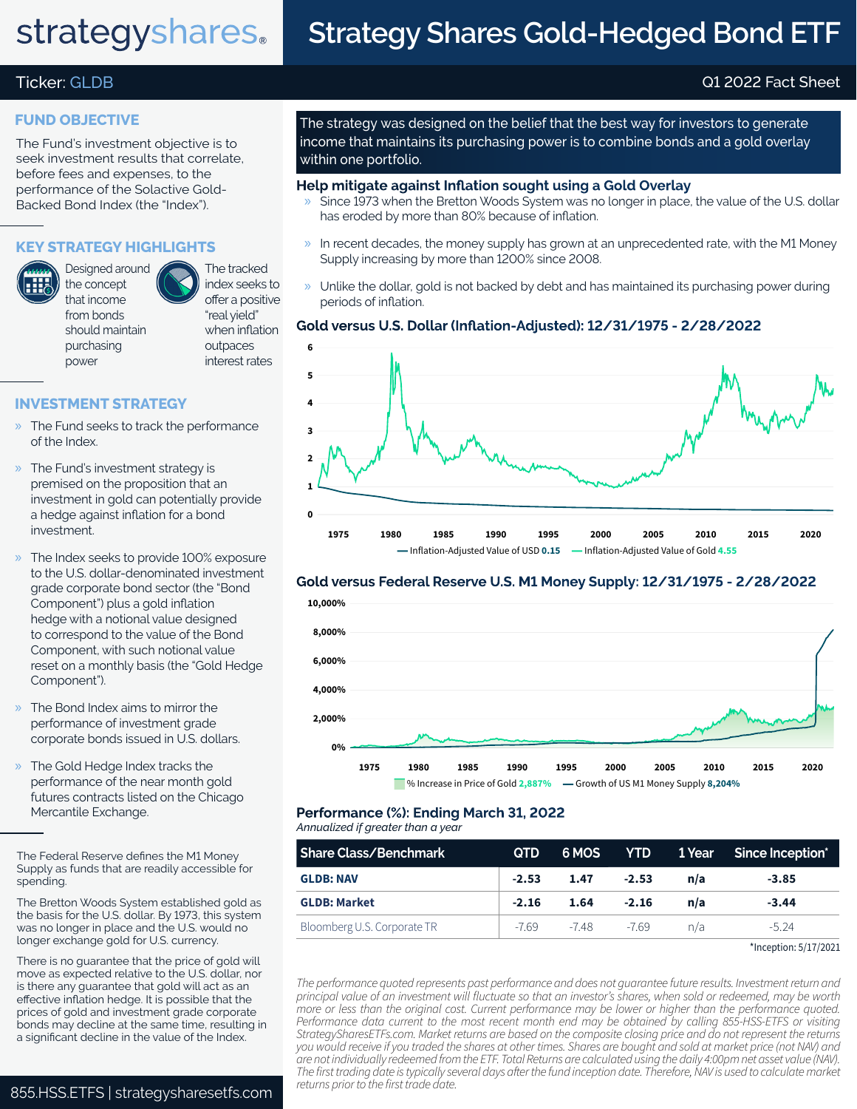# strategyshares.

# **Strategy Shares Gold-Hedged Bond ETF**

# Ticker: GLDB Q1 2022 Fact Sheet

### **FUND OBJECTIVE**

The Fund's investment objective is to seek investment results that correlate, before fees and expenses, to the performance of the Solactive Gold-Backed Bond Index (the "Index").

# **KEY STRATEGY HIGHLIGHTS**

Designed around the concept that income from bonds should maintain purchasing power

The tracked index seeks to offer a positive "real yield" when inflation outpaces interest rates

## **INVESTMENT STRATEGY**

- » The Fund seeks to track the performance of the Index.
- » The Fund's investment strategy is premised on the proposition that an investment in gold can potentially provide a hedge against inflation for a bond investment.
- » The Index seeks to provide 100% exposure to the U.S. dollar-denominated investment grade corporate bond sector (the "Bond Component") plus a gold inflation hedge with a notional value designed to correspond to the value of the Bond Component, with such notional value reset on a monthly basis (the "Gold Hedge Component").
- » The Bond Index aims to mirror the performance of investment grade corporate bonds issued in U.S. dollars.
- » The Gold Hedge Index tracks the performance of the near month gold futures contracts listed on the Chicago Mercantile Exchange.

The Bretton Woods System established gold as the basis for the U.S. dollar. By 1973, this system was no longer in place and the U.S. would no longer exchange gold for U.S. currency.

There is no guarantee that the price of gold will move as expected relative to the U.S. dollar, nor is there any guarantee that gold will act as an effective inflation hedge. It is possible that the prices of gold and investment grade corporate bonds may decline at the same time, resulting in a significant decline in the value of the Index.

The strategy was designed on the belief that the best way for investors to generate income that maintains its purchasing power is to combine bonds and a gold overlay within one portfolio.

#### **Help mitigate against Inflation sought using a Gold Overlay**

- » Since 1973 when the Bretton Woods System was no longer in place, the value of the U.S. dollar has eroded by more than 80% because of inflation.
- $\rightarrow$  In recent decades, the money supply has grown at an unprecedented rate, with the M1 Money Supply increasing by more than 1200% since 2008.
- » Unlike the dollar, gold is not backed by debt and has maintained its purchasing power during periods of inflation.

### **Gold versus U.S. Dollar (Inflation-Adjusted): 12/31/1975 - 2/28/2022**



### **Gold versus Federal Reserve U.S. M1 Money Supply: 12/31/1975 - 2/28/2022**



#### *Annualized if greater than a year* **Performance (%): Ending March 31, 2022**

| <b>Share Class/Benchmark</b> | QTD.    |             |         |     | 6 MOS YTD 1 Year Since Inception* |
|------------------------------|---------|-------------|---------|-----|-----------------------------------|
| <b>GLDB: NAV</b>             | $-2.53$ | 1.47        | $-2.53$ | n/a | $-3.85$                           |
| <b>GLDB: Market</b>          | $-2.16$ | 1.64        | $-2.16$ | n/a | $-3.44$                           |
| Bloomberg U.S. Corporate TR  |         | -7.69 -7.48 | -769    | n/a | $-5.24$                           |

<sup>\*</sup>Inception: 5/17/2021

*The performance quoted represents past performance and does not guarantee future results. Investment return and principal value of an investment will fluctuate so that an investor's shares, when sold or redeemed, may be worth more or less than the original cost. Current performance may be lower or higher than the performance quoted. Performance data current to the most recent month end may be obtained by calling 855-HSS-ETFS or visiting StrategySharesETFs.com. Market returns are based on the composite closing price and do not represent the returns you would receive if you traded the shares at other times. Shares are bought and sold at market price (not NAV) and are not individually redeemed from the ETF. Total Returns are calculated using the daily 4:00pm net asset value (NAV). The first trading date is typically several days after the fund inception date. Therefore, NAV is used to calculate market* 

The Federal Reserve defines the M1 Money Supply as funds that are readily accessible for spending.